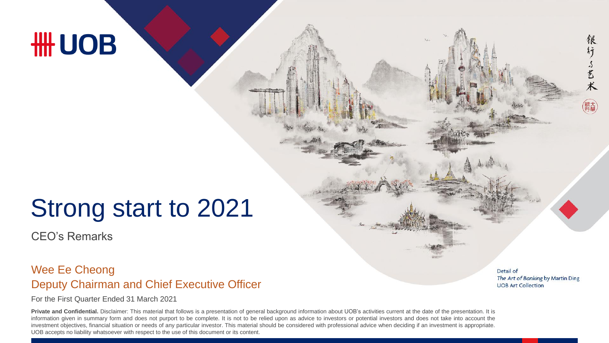## **HH UOB**

## Strong start to 2021

CEO's Remarks

#### Deputy Chairman and Chief Executive Officer Wee Ee Cheong

For the First Quarter Ended 31 March 2021

Private and Confidential. Disclaimer: This material that follows is a presentation of general background information about UOB's activities current at the date of the presentation. It is information given in summary form and does not purport to be complete. It is not to be relied upon as advice to investors or potential investors and does not take into account the investment objectives, financial situation or needs of any particular investor. This material should be considered with professional advice when deciding if an investment is appropriate. UOB accepts no liability whatsoever with respect to the use of this document or its content.

Detail of The Art of Banking by Martin Ding **UOB Art Collection** 

银

行了艺术

銀大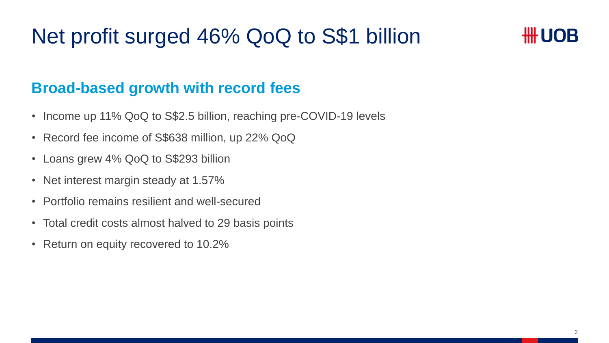## Net profit surged 46% QoQ to S\$1 billion



#### **Broad-based growth with record fees**

- Income up 11% QoQ to S\$2.5 billion, reaching pre-COVID-19 levels
- Record fee income of S\$638 million, up 22% QoQ
- Loans grew 4% QoQ to S\$293 billion
- Net interest margin steady at 1.57%
- Portfolio remains resilient and well-secured
- Total credit costs almost halved to 29 basis points
- Return on equity recovered to 10.2%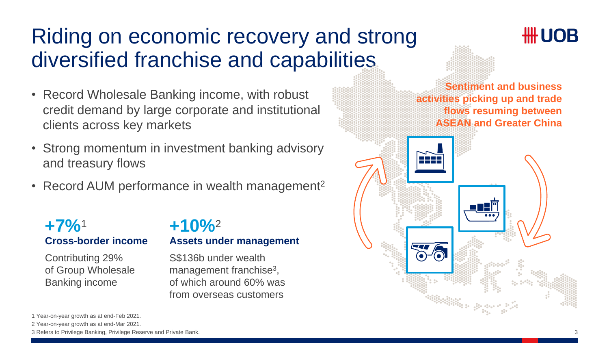## Riding on economic recovery and strong diversified franchise and capabilities

- Record Wholesale Banking income, with robust credit demand by large corporate and institutional clients across key markets
- Strong momentum in investment banking advisory and treasury flows
- Record AUM performance in wealth management<sup>2</sup>

#### **Cross-border income +7%**<sup>1</sup>

Contributing 29% of Group Wholesale Banking income

#### **Assets under management +10%**<sup>2</sup>

S\$136b under wealth management franchise<sup>3</sup>, of which around 60% was from overseas customers



2 Year-on-year growth as at end-Mar 2021.

3 Refers to Privilege Banking, Privilege Reserve and Private Bank.

<sup>1</sup> Year-on-year growth as at end-Feb 2021.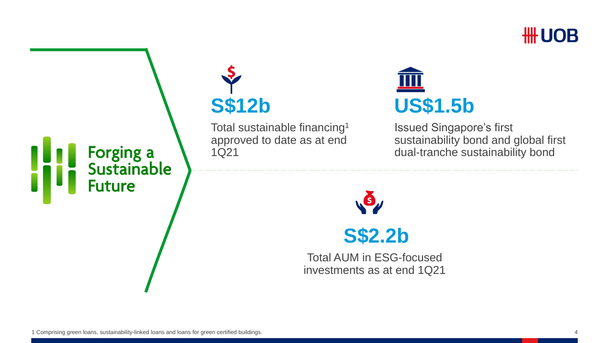



# **S\$12b**

Total sustainable financing<sup>1</sup> approved to date as at end 1Q21



Issued Singapore's first sustainability bond and global first dual-tranche sustainability bond



Total AUM in ESG-focused investments as at end 1Q21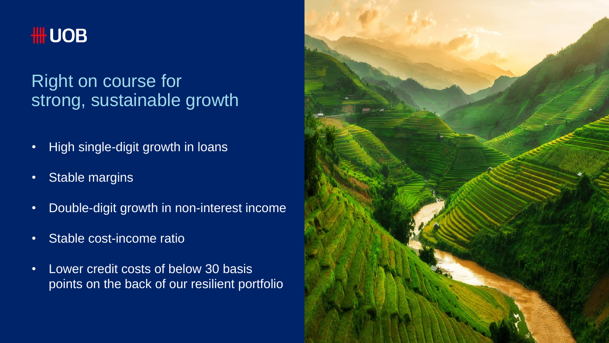

### Right on course for strong, sustainable growth

- High single-digit growth in loans
- Stable margins
- Double-digit growth in non-interest income
- Stable cost-income ratio
- Lower credit costs of below 30 basis points on the back of our resilient portfolio